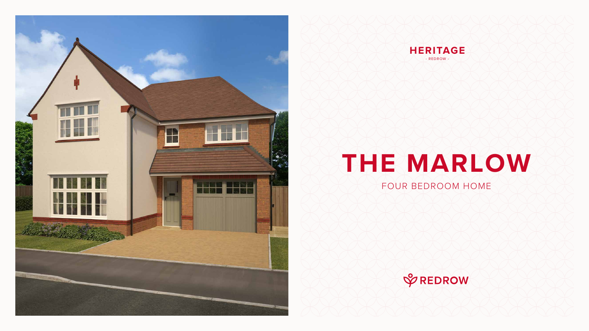# **THE MARLOW**

### FOUR BEDROOM HOME







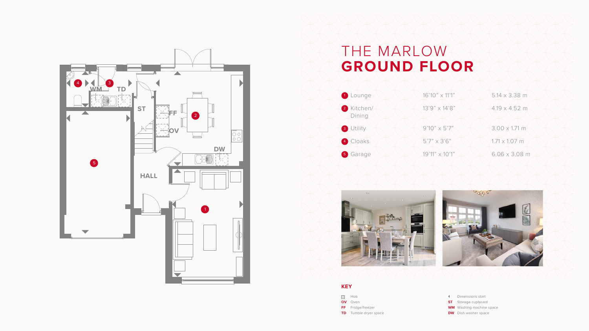### THE MARLOW **GROUND FLOOR**





- Dimensions start
- **ST** Storage cupboard
- **WM** Washing machine space
- **DW** Dish washer space





#### **KEY**

- $\frac{100}{100}$  Hob
- **OV** Oven
- **FF** Fridge/freezer
- **TD** Tumble dryer space